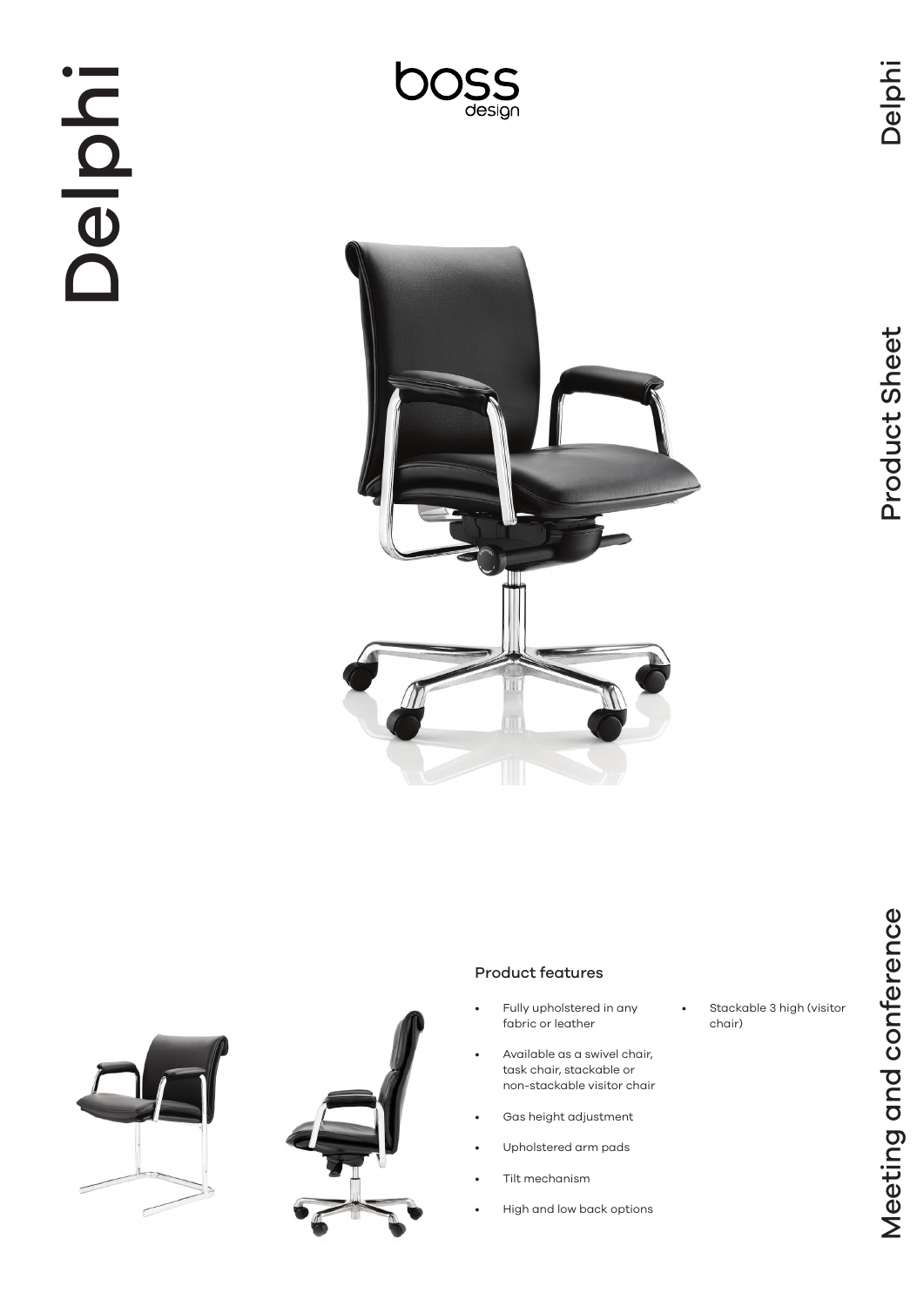Delphi

# Delphi









# Product features

- Fully upholstered in any fabric or leather
- Available as a swivel chair, task chair, stackable or non-stackable visitor chair
- Gas height adjustment
- Upholstered arm pads
- Tilt mechanism
- High and low back options

Stackable 3 high (visitor chair)